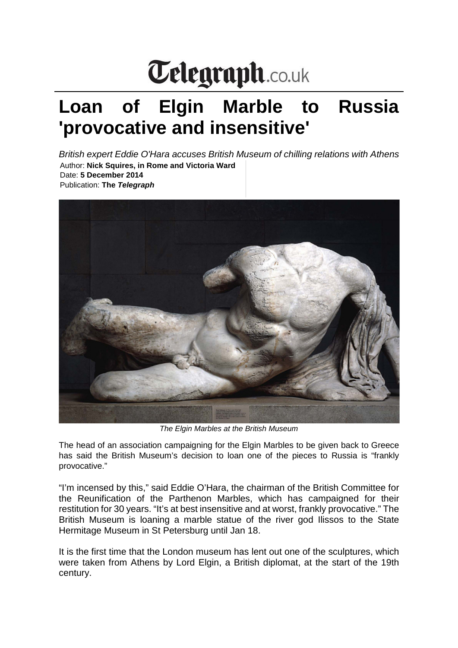## Telegraph.co.uk

## **Loan of Elgin Marble to Russia 'provocative and insensitive'**

*British expert Eddie O'Hara accuses British Museum of chilling relations with Athens* Author: **Nick Squires, in Rome and Victoria Ward** Date: **5 December 2014** Publication: **The** *Telegraph*



*The Elgin Marbles at the British Museum*

The head of an association campaigning for the Elgin Marbles to be given back to Greece has said the British Museum's decision to loan one of the pieces to Russia is "frankly provocative."

"I'm incensed by this," said Eddie O'Hara, the chairman of the British Committee for the Reunification of the Parthenon Marbles, which has campaigned for their restitution for 30 years. "It's at best insensitive and at worst, frankly provocative." The British Museum is loaning a marble statue of the river god Ilissos to the State Hermitage Museum in St Petersburg until Jan 18.

It is the first time that the London museum has lent out one of the sculptures, which were taken from Athens by Lord Elgin, a British diplomat, at the start of the 19th century.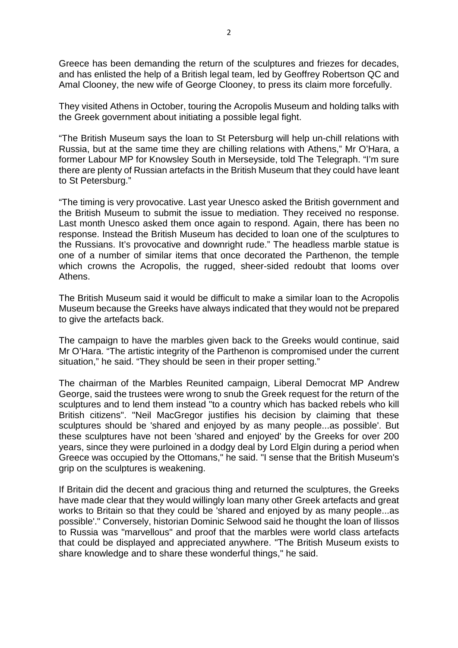Greece has been demanding the return of the sculptures and friezes for decades, and has enlisted the help of a British legal team, led by Geoffrey Robertson QC and Amal Clooney, the new wife of George Clooney, to press its claim more forcefully.

They visited Athens in October, touring the Acropolis Museum and holding talks with the Greek government about initiating a possible legal fight.

"The British Museum says the loan to St Petersburg will help un-chill relations with Russia, but at the same time they are chilling relations with Athens," Mr O'Hara, a former Labour MP for Knowsley South in Merseyside, told The Telegraph. "I'm sure there are plenty of Russian artefacts in the British Museum that they could have leant to St Petersburg."

"The timing is very provocative. Last year Unesco asked the British government and the British Museum to submit the issue to mediation. They received no response. Last month Unesco asked them once again to respond. Again, there has been no response. Instead the British Museum has decided to loan one of the sculptures to the Russians. It's provocative and downright rude." The headless marble statue is one of a number of similar items that once decorated the Parthenon, the temple which crowns the Acropolis, the rugged, sheer-sided redoubt that looms over Athens.

The British Museum said it would be difficult to make a similar loan to the Acropolis Museum because the Greeks have always indicated that they would not be prepared to give the artefacts back.

The campaign to have the marbles given back to the Greeks would continue, said Mr O'Hara. "The artistic integrity of the Parthenon is compromised under the current situation," he said. "They should be seen in their proper setting."

The chairman of the Marbles Reunited campaign, Liberal Democrat MP Andrew George, said the trustees were wrong to snub the Greek request for the return of the sculptures and to lend them instead "to a country which has backed rebels who kill British citizens". "Neil MacGregor justifies his decision by claiming that these sculptures should be 'shared and enjoyed by as many people...as possible'. But these sculptures have not been 'shared and enjoyed' by the Greeks for over 200 years, since they were purloined in a dodgy deal by Lord Elgin during a period when Greece was occupied by the Ottomans," he said. "I sense that the British Museum's grip on the sculptures is weakening.

If Britain did the decent and gracious thing and returned the sculptures, the Greeks have made clear that they would willingly loan many other Greek artefacts and great works to Britain so that they could be 'shared and enjoyed by as many people...as possible'." Conversely, historian Dominic Selwood said he thought the loan of Ilissos to Russia was "marvellous" and proof that the marbles were world class artefacts that could be displayed and appreciated anywhere. "The British Museum exists to share knowledge and to share these wonderful things," he said.